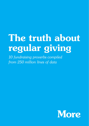# The truth about regular giving

*10 fundraising proverbs compiled from 250 million lines of data*

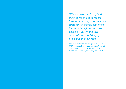*"We wholeheartedly applaud the innovation and foresight involved in taking a collaborative approach to provide something that is of benefit to the whole education sector and that demonstrates a building up of a bank of knowledge."*

Judges, Institute of Fundraising Insight Awards 2015 – on awarding the prize for *Most Powerful Insight from a Long-Term Strategic Project* to More Partnership's Regular Giving Benchmarking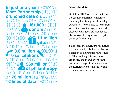**In just one year 10010100 More Partnership 0100101 crunched data on…**  $(0)(0)$ [ $(0)$ ] **161,000 donors** 101 **1.1 million gifts**<sup>11</sup>  $(0)$ 111 $(0)$ 1 $(0)$ 01 $(0)$ 1 $(0)$ 1111 $(0)$ **3.8 million**  $\sim 1001$ **solicitations**  $[05]$  $[0]$  $[0]$  $[0]$  $[0]$  $[1]$ **£68 million O1 CD of philanthropy**<br>00100101101000101110 **78 million**  10 lines of data<sup>100101</sup>

# About the data

Back in 2010, More Partnership and 15 partner universities embarked on a Regular Giving Benchmarking adventure. They wanted to learn from each other, see the big picture and discover what good practice looked like. Above all, they wanted to get better at fundraising.

Since then, the adventure has turned into an annual project. Over the years, a total of 33 universities have joined in. The resulting data and reports are theirs. But in true More spirit, we have arranged to share some of the learning. Hence this little book of data-driven proverbs…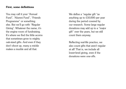#### First, some definitions

You may call it your "Annual Fund", "Alumni Fund", "Friends Programme" or something else. But we'll go with "Regular Giving". Whatever the name, it's the engine room of fundraising. It's where we find the little acorns that sometimes grow to mighty oak-sized gifts. And even if they don't shoot up, many a mickle makes a muckle and all that.

We define a "regular gift "as anything up to £10,000 per year during the period covered by our research. Some large regular donations may add up to a "major gift" over the years, but we still count them anyway.

Reflecting real-life practice, we also count gifts that aren't regular at all! That is, we include all lower-level giving, even if the donations were one-offs.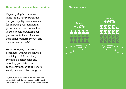#### Be grateful for geeks bearing gifts.

Regular giving is a numbers game. So it's hardly surprising that good-quality data is essential for improving your fundraising performance. Over the last five years, our data has helped our partner institutions to increase their donor numbers by 52% and their income by 94%.\*

We're not saying you have to benchmark with us (though we'd love it if you did!). Just that, by getting a better database, recording your data more consistently and/or using it more savvily, you can raise your game. **Five year growth**

**Donors +52%**



<sup>\*</sup> Figures based on the results of the institutions that participated in both the first year and the fifth year of benchmarking (but not necessarily every year in between)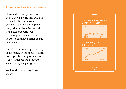## Count your blessings selectively.

Historically, participation has been a useful metric. But is it time to recalibrate your targets? On average, 2.3% of alumni give to our partner universities annually. The figure has been stuck stubbornly at that level for several years – even though donor counts have soared.

Participation rates tell you nothing about money in the bank, let alone donor profile, loyalty or retention – all of which (as we'll see) are secrets of regular-giving success.

We love data – but only if used wisely.

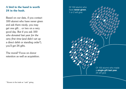# A bird in the hand is worth 24 in the bush.

Based on our data, if you contact 100 alumni who have never given and ask them nicely, you may get one gift… or two on a very good day. But if you ask 100 *who donated last year for the very first time* (and didn't set up a direct debit or standing order\*), you'll get 24 gifts.

The moral? Focus on donor retention as well as acquisition. Of 100 alumni who have **never given**, 1 or 2 will give Of 100 alumni who made a **single gift last year**, 24 will give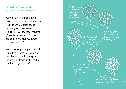# A bird in *both* hands is worth 45 in the bush.

As we saw on the last page, first-time "cash-donor" retention is 24 in 100. But for those who've given two years in a row, it's 45 in 100, for those who've given three times it's 58, four times it's 65% and five times or more it's 78%.

We're not suggesting you should put all your eggs in one basket… just that you might put quite a lot of your efforts in the basket marked "loyal donors".

Of 100 alumni who made their **1st** gift last year, 24 will give

> Of 100 alumni/ **3 years** in a row, 58 will give

Of 100 alumni who have given **2 years** in a row, 45 will give

Of 100 alumni who have given **4 years** in a row, 65 will give

> Of 100 alumni · who have given **5 or more years** in a row, 78 will give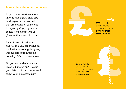#### Look at how the other half gives.

Loyal donors aren't just more likely to give again. They also tend to give *more*. We find that around half of all income to regular giving programmes comes from alumni who've given for three years in a row.

It also turns out that around half (40 to 60%, depending on the institution) of regular giving income comes from people donating £250 or more a year.

Do you know which side *your* bread is buttered on? Slice up your data in different ways. And target your jam accordingly.



**50%** of regular giving income comes from those donating **£250 or more a year**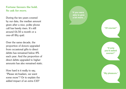# Fortune favours the bold. So ask for *more* .

During the ten years covered by our data, the median amount given after a nice, polite phone call has barely risen. It's still around £6.50 a month or a one-off fifty quid.

Over the same decade, the proportion of donors upgraded from occasional gifts to direct debits has remained below 8% each year. And the proportion of direct debits upgraded to higher amounts has also remained static.

How hard is it really to say, "Please sir/madam, we want some more"? Or to explain the added impact of an extra £10?

**"If you were able to give**

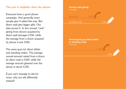## The pen is mightier than the phone.

Everyone loves a good phone campaign. And generally more people give if asked this way. But direct mail gets bigger gifts. Our data proves it. In fact annual "cash" giving from donors acquired by direct mail averages £150, while the average from a donor acquired by phone is just £106.

The same goes for direct debits and standing orders. The average annual amount raised from a donor by direct mail is £169, while the average amount gleaned over the phone is about £136.

If you can't manage to ask for more, why not ask differently instead?

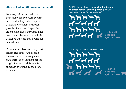#### *Always* look a gift horse in the mouth.

For every 100 alumni who've been giving for five years by direct debit or standing order, only six will fail to give again next year… provided they haven't specified an end date. But if they *have* fixed an end date, between 19 and 30 will lapse. At least, that's what our data tells us.

There are two lessons. First, don't ask for end dates. And second, if some alumni absolutely must have them, don't let them get too long in the tooth. Make a note to approach everyone in good time to renew.

Of 100 alumni who've been **giving for 5 years by direct debit or standing order** (provided they haven't specified an end date)…



**…only 6 will fail to give again next year**

But if they do have a **fixed end date**…

**…19-30 will fail to give again next year**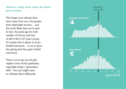Absence really does make the heart grow fonder.

The longer your alumni have **Numbers of donors** been away from you, the greater their disposable income… and the more likely they are to give. In fact, the peak age for both number of donors and size of gift is 66 to 67 years young. So maybe this is where to focus limited resources… so as to grow the giving (and thus gain further resources).

That's not to say you should neglect more recent graduates, especially today's "generation debt". You just might want to cultivate them differently.

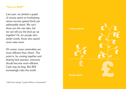# "Vive le ROI!"\*

Last year, we plotted a graph of money spent on fundraising versus income gained (both per addressable alum). We can't show you the raw data, but we can tell you the lines go up together! Or, for people who prefer words, those who spend more raise more.

Of course, some universities are more efficient than others. The point is, by coming together and sharing best practice, everyone should become more efficient. Cash may be king. But ROI increasingly rules the world.



\* (old French saying) "Long live Return on Investment!"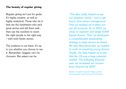## The beauty of regular giving

Regular giving isn't just for geeks. It's highly creative, as well as highly analytical. Those who do it best are the fundraisers who pick great stories and tell them well... then use the numbers to reach the right people in the right way – with even better stories.

The evidence is out there. It's up to you whether you choose to use it. Remember, beggars can't be choosers. But askers can be.

*"The data really helped us see our situation clearly – and to get buy-in from senior management. First we realised we'd taken our eye off renewals. So in 2013, we chose to segment and target 4,000 lapsed donors. Then we developed a comprehensive stewardship strategy to keep alumni on board. We also discovered that we needed to work on acquiring young donors. Finally, the data helped us to see that the US was a huge potential market. The following financial year, we increased our income from America by 45%!"*

Heather Campbell, Imperial College London (and previously London School of Economics)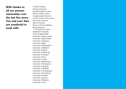With thanks to all our partner universities over the last five years. You and your data are wonderful to work with.

Cardiff University Dundee University Imperial College London King's College London Loughborough University London School of Economics Newcastle University Open University Queen's University Belfast Royal Holloway, University of London Strathclyde University Trinity College Dublin University College London University College Dublin University of Aberdeen University of Bath University of Birmingham University of Bradford University of Bristol University of Edinburgh University of Glasgow University of Kent University of Leeds University of Manchester University of Nottingham University of Reading University of Sheffield University of Southampton University of St Andrews University of Stirling University of Sussex University of Warwick University of York